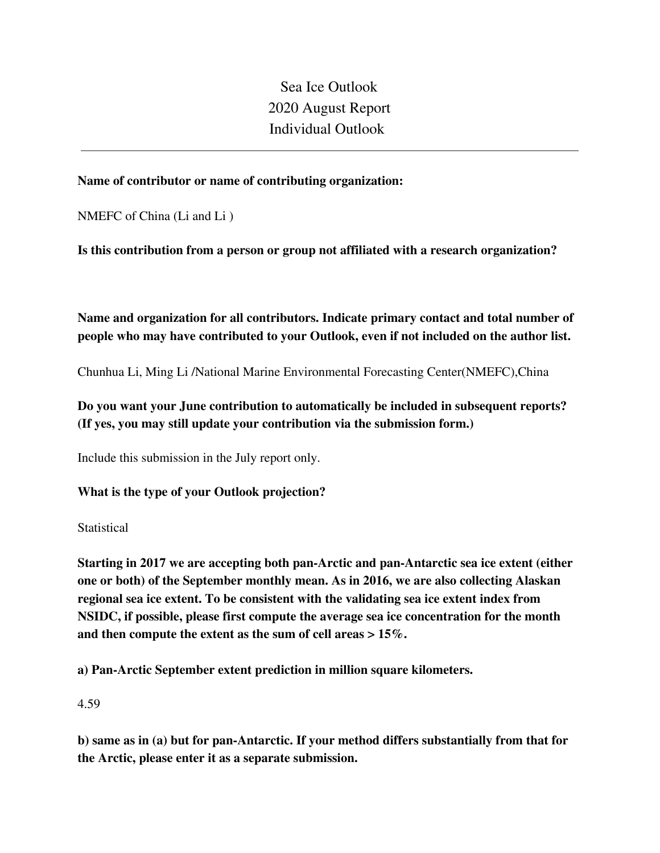Sea Ice Outlook 2020 August Report Individual Outlook

## **Name of contributor or name of contributing organization:**

NMEFC of China (Li and Li )

**Is this contribution from a person or group not affiliated with a research organization?** 

**Name and organization for all contributors. Indicate primary contact and total number of people who may have contributed to your Outlook, even if not included on the author list.**

Chunhua Li, Ming Li /National Marine Environmental Forecasting Center(NMEFC),China

# **Do you want your June contribution to automatically be included in subsequent reports? (If yes, you may still update your contribution via the submission form.)**

Include this submission in the July report only.

## **What is the type of your Outlook projection?**

**Statistical** 

**Starting in 2017 we are accepting both pan-Arctic and pan-Antarctic sea ice extent (either one or both) of the September monthly mean. As in 2016, we are also collecting Alaskan regional sea ice extent. To be consistent with the validating sea ice extent index from NSIDC, if possible, please first compute the average sea ice concentration for the month and then compute the extent as the sum of cell areas > 15%.**

**a) Pan-Arctic September extent prediction in million square kilometers.**

4.59

**b) same as in (a) but for pan-Antarctic. If your method differs substantially from that for the Arctic, please enter it as a separate submission.**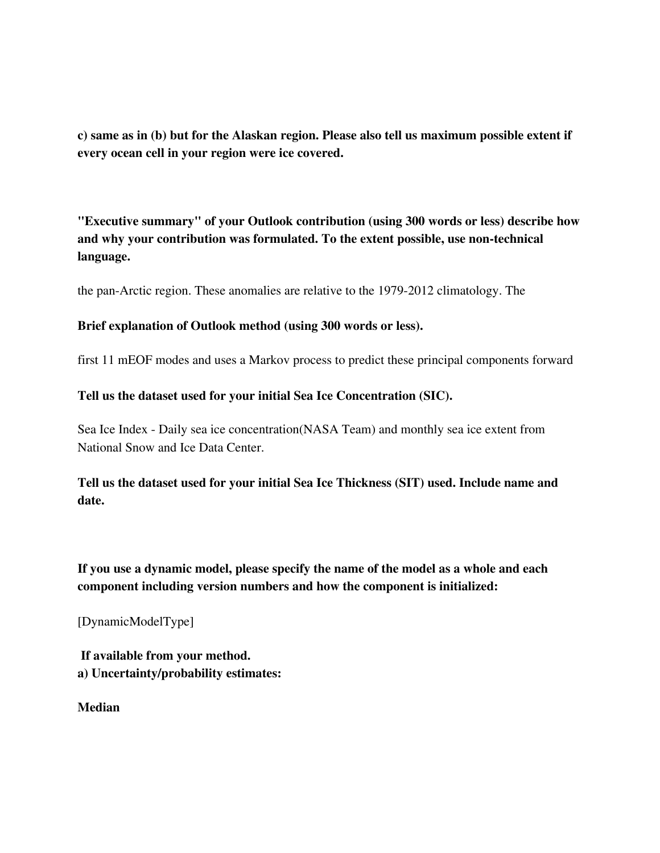**c) same as in (b) but for the Alaskan region. Please also tell us maximum possible extent if every ocean cell in your region were ice covered.**

**"Executive summary" of your Outlook contribution (using 300 words or less) describe how and why your contribution was formulated. To the extent possible, use non-technical language.**

the pan-Arctic region. These anomalies are relative to the 1979-2012 climatology. The

#### **Brief explanation of Outlook method (using 300 words or less).**

first 11 mEOF modes and uses a Markov process to predict these principal components forward

#### **Tell us the dataset used for your initial Sea Ice Concentration (SIC).**

Sea Ice Index - Daily sea ice concentration(NASA Team) and monthly sea ice extent from National Snow and Ice Data Center.

# **Tell us the dataset used for your initial Sea Ice Thickness (SIT) used. Include name and date.**

**If you use a dynamic model, please specify the name of the model as a whole and each component including version numbers and how the component is initialized:**

[DynamicModelType]

**If available from your method. a) Uncertainty/probability estimates:**

**Median**